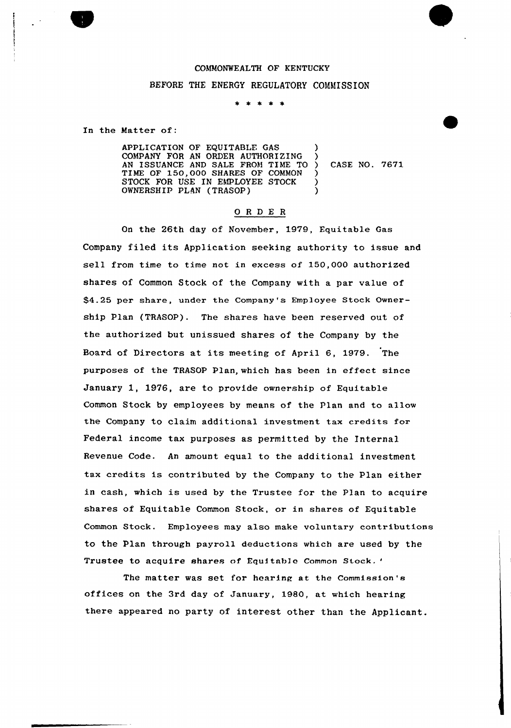## COMMONWEALTH OF KENTUCKY BEFORE THE ENERGY REGULATORY COMMISSION

\* \* \* \* \*

In the Matter of:

APPLICATION OF EQUITABLE GAS COMPANY FOR AN ORDER AUTHORIZING AN ISSUANCE AND SALE FROM TIME TO TIME OF 150,000 SHARES OF COMMON STOCK FOR USE IN EMPLOYEE STOCK OWNERSHIP PLAN (TRASOP) ) ) ) ) )

) CASK NO. 7671

## 0 <sup>R</sup> <sup>D</sup> E <sup>R</sup>

On the 26th day of November, 1979, Equitable Gas Company filed its Application seeking authority to issue and sell from time to time not in excess of 150,000 authorized shares of Common Stock of the Company with a par value of \$4.25 per share, under the Company's Employee Stock Ownership Plan (TRASOP). The shares have been reserved out the authorized but unissued shares of the Company by the Board of Directors at its meeting of April 6, 1979. The purposes of the TRASOP Plan, which has been in effect since January 1, 1976, are to provide ownership of Equitable Common Stock by employees by means of the Plan and to allow the Company to claim additional investment tax credits for Federal income tax purposes as permitted by the Internal Revenue Code. An amount equal to the additional investment tax credits is contributed by the Company to the Plan either in cash, which is used by the Trustee for the Plan to acquire shares of Equitable Common Stock, or in shares of Equitable Common Stock. Employees may also make voluntary contributions to the Plan through payroll deductions which are used by the Trustee to acquire shares of Equitable Common Stock.'

'he matter was set for hearing at the Commission's offices on the 3rd day of January, 1980, at which hearing there appeared no party of interest other than the Applicant.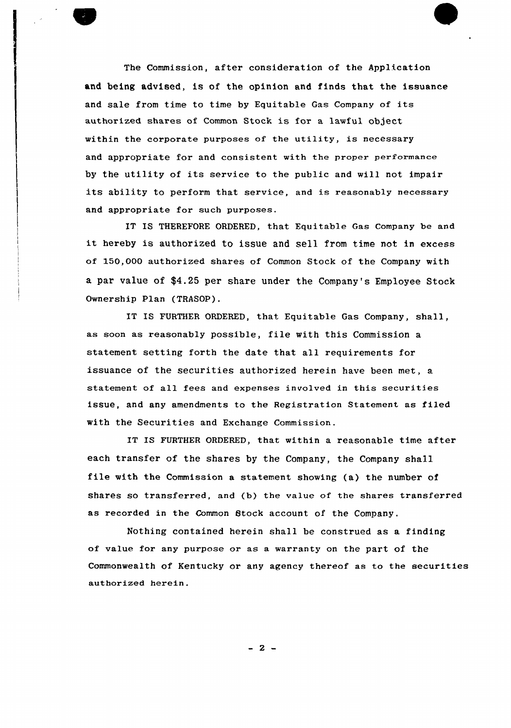

The Commission, after consideration of the Application and being advised, is of the opinion and finds that the issuance and sale from time to time by Equitable Gas Company of its authorized shares of Common Stock is for a lawful object within the corporate purposes of the utility, is necessary and appropriate for and consistent with the proper performance by the utility of its service to the public and will not impair its ability to perform that service, and is reasonably necessary and appropriate for such purposes.

IT IS THEREFORE ORDERED, that Equitable Gas Company be and it hereby is authorized to issue and sell from time not in excess of 150,000 authorized shares of Common Stock of the Company with a par value of \$4.25 per share under the Company's Employee Stock Ownership Plan (TRASOP).

IT IS FURTHER ORDERED, that Equitable Gas Company, shall, as soon as reasonably possible, file with this Commission a statement setting forth the date that all requirements for issuance of the securities authorized herein have been met, a statement of all fees and expenses involved in this securities issue, and any amendments to the Registration Statement as filed with the Securities and Exchange Commission.

IT IS FURTHER ORDERED, that within a reasonable time after each transfer of the shares by the Company, the Company shall file with the Commission <sup>a</sup> statement showing (a) the number of. shares so transferred, and (b) the value of the shares transferred as recorded in the Common Btock account of the Company.

Nothing contained herein shall be construed as a finding of value for any purpose or as a warranty on the part of the Commonwealth of Kentucky or any agency thereof as to the securities authorized herein.

- 2 -